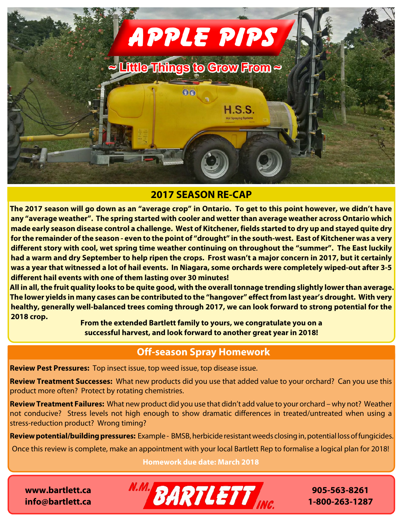

## **2017 SEASON RE-CAP**

**The 2017 season will go down as an "average crop" in Ontario. To get to this point however, we didn't have any "average weather". The spring started with cooler and wetter than average weather across Ontario which made early season disease control a challenge. West of Kitchener, fields started to dry up and stayed quite dry for the remainder of the season - even to the point of "drought" in the south-west. East of Kitchener was a very different story with cool, wet spring time weather continuing on throughout the "summer". The East luckily had a warm and dry September to help ripen the crops. Frost wasn't a major concern in 2017, but it certainly was a year that witnessed a lot of hail events. In Niagara, some orchards were completely wiped-out after 3-5 different hail events with one of them lasting over 30 minutes!**

**All in all, the fruit quality looks to be quite good, with the overall tonnage trending slightly lower than average. The lower yields in many cases can be contributed to the "hangover" effect from last year's drought. With very healthy, generally well-balanced trees coming through 2017, we can look forward to strong potential for the 2018 crop.**

**From the extended Bartlett family to yours, we congratulate you on a successful harvest, and look forward to another great year in 2018!**

# **Off-season Spray Homework**

**Review Pest Pressures:** Top insect issue, top weed issue, top disease issue.

**Review Treatment Successes:** What new products did you use that added value to your orchard? Can you use this product more often? Protect by rotating chemistries.

**Review Treatment Failures:** What new product did you use that didn't add value to your orchard – why not? Weather not conducive? Stress levels not high enough to show dramatic differences in treated/untreated when using a stress-reduction product? Wrong timing?

**Review potential/building pressures:** Example - BMSB, herbicide resistant weeds closing in, potential loss of fungicides.

Once this review is complete, make an appointment with your local Bartlett Rep to formalise a logical plan for 2018!

**Homework due date: March 2018**

**www.bartlett.ca info@bartlett.ca**



**905-563-8261 1-800-263-1287**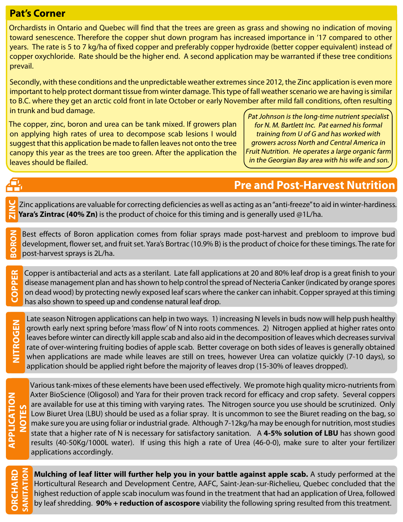### **Pat's Corner**

Orchardists in Ontario and Quebec will find that the trees are green as grass and showing no indication of moving toward senescence. Therefore the copper shut down program has increased importance in '17 compared to other years. The rate is 5 to 7 kg/ha of fixed copper and preferably copper hydroxide (better copper equivalent) instead of copper oxychloride. Rate should be the higher end. A second application may be warranted if these tree conditions prevail.

Secondly, with these conditions and the unpredictable weather extremes since 2012, the Zinc application is even more important to help protect dormant tissue from winter damage. This type of fall weather scenario we are having is similar to B.C. where they get an arctic cold front in late October or early November after mild fall conditions, often resulting in trunk and bud damage.

The copper, zinc, boron and urea can be tank mixed. If growers plan on applying high rates of urea to decompose scab lesions I would suggest that this application be made to fallen leaves not onto the tree canopy this year as the trees are too green. After the application the leaves should be flailed.

Pat Johnson is the long-time nutrient specialist for N. M. Bartlett Inc. Pat earned his formal training from U of G and has worked with growers across North and Central America in Fruit Nutrition. He operates a large organic farm in the Georgian Bay area with his wife and son.

# **Pre and Post-Harvest Nutrition**

Zinc applications are valuable for correcting deficiencies as well as acting as an "anti-freeze" to aid in winter-hardiness. **Yara's Zintrac (40% Zn)** is the product of choice for this timing and is generally used @1L/ha. **ZINC**

Best effects of Boron application comes from foliar sprays made post-harvest and prebloom to improve bud development, flower set, and fruit set. Yara's Bortrac (10.9% B) is the product of choice for these timings. The rate for **BORON** post-harvest sprays is 2L/ha.

Copper is antibacterial and acts as a sterilant. Late fall applications at 20 and 80% leaf drop is a great finish to your disease management plan and has shown to help control the spread of Necteria Canker (indicated by orange spores on dead wood) by protecting newly exposed leaf scars where the canker can inhabit. Copper sprayed at this timing **COPPER** has also shown to speed up and condense natural leaf drop.

Late season Nitrogen applications can help in two ways. 1) increasing N levels in buds now will help push healthy growth early next spring before 'mass flow' of N into roots commences. 2) Nitrogen applied at higher rates onto leaves before winter can directly kill apple scab and also aid in the decomposition of leaves which decreases survival rate of over-wintering fruiting bodies of apple scab. Better coverage on both sides of leaves is generally obtained when applications are made while leaves are still on trees, however Urea can volatize quickly (7-10 days), so application should be applied right before the majority of leaves drop (15-30% of leaves dropped).

**NITROGEN**

Æ,

Various tank-mixes of these elements have been used effectively. We promote high quality micro-nutrients from Axter BioScience (Oligosol) and Yara for their proven track record for efficacy and crop safety. Several coppers are available for use at this timing with varying rates. The Nitrogen source you use should be scrutinized. Only Low Biuret Urea (LBU) should be used as a foliar spray. It is uncommon to see the Biuret reading on the bag, so make sure you are using foliar or industrial grade. Although 7-12kg/ha may be enough for nutrition, most studies state that a higher rate of N is necessary for satisfactory sanitation. A **4-5% solution of LBU** has shown good results (40-50Kg/1000L water). If using this high a rate of Urea (46-0-0), make sure to alter your fertilizer applications accordingly.

**ORCHARD SANITATION** **Mulching of leaf litter will further help you in your battle against apple scab.** A study performed at the Horticultural Research and Development Centre, AAFC, Saint-Jean-sur-Richelieu, Quebec concluded that the highest reduction of apple scab inoculum was found in the treatment that had an application of Urea, followed by leaf shredding. **90% + reduction of ascospore** viability the following spring resulted from this treatment.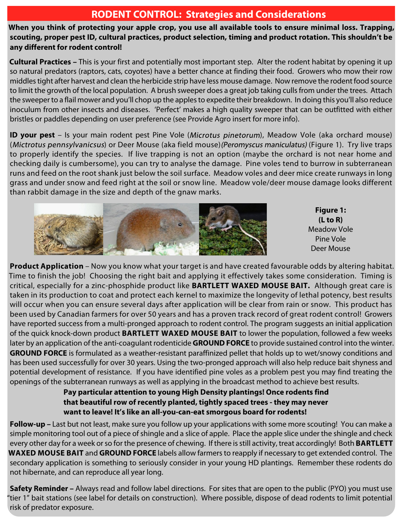#### **RODENT CONTROL: Strategies and Considerations**

**When you think of protecting your apple crop, you use all available tools to ensure minimal loss. Trapping, scouting, proper pest ID, cultural practices, product selection, timing and product rotation. This shouldn't be any different for rodent control!**

**Cultural Practices –** This is your first and potentially most important step. Alter the rodent habitat by opening it up so natural predators (raptors, cats, coyotes) have a better chance at finding their food. Growers who mow their row middles tight after harvest and clean the herbicide strip have less mouse damage. Now remove the rodent food source to limit the growth of the local population. A brush sweeper does a great job taking culls from under the trees. Attach the sweeper to a flail mower and you'll chop up the apples to expedite their breakdown. In doing this you'll also reduce inoculum from other insects and diseases. 'Perfect' makes a high quality sweeper that can be outfitted with either bristles or paddles depending on user preference (see Provide Agro insert for more info).

**ID your pest** – Is your main rodent pest Pine Vole (Microtus pinetorum), Meadow Vole (aka orchard mouse) (Mictrotus pennsylvanicsus) or Deer Mouse (aka field mouse) (Peromyscus maniculatus) (Figure 1). Try live traps to properly identify the species. If live trapping is not an option (maybe the orchard is not near home and checking daily is cumbersome), you can try to analyse the damage. Pine voles tend to burrow in subterranean runs and feed on the root shank just below the soil surface. Meadow voles and deer mice create runways in long grass and under snow and feed right at the soil or snow line. Meadow vole/deer mouse damage looks different than rabbit damage in the size and depth of the gnaw marks.



**Figure 1: (L to R)** Meadow Vole Pine Vole Deer Mouse

**Product Application** – Now you know what your target is and have created favourable odds by altering habitat. Time to finish the job! Choosing the right bait and applying it effectively takes some consideration. Timing is critical, especially for a zinc-phosphide product like **BARTLETT WAXED MOUSE BAIT.** Although great care is taken in its production to coat and protect each kernel to maximize the longevity of lethal potency, best results will occur when you can ensure several days after application will be clear from rain or snow. This product has been used by Canadian farmers for over 50 years and has a proven track record of great rodent control! Growers have reported success from a multi-pronged approach to rodent control. The program suggests an initial application of the quick knock-down product **BARTLETT WAXED MOUSE BAIT** to lower the population, followed a few weeks later by an application of the anti-coagulant rodenticide **GROUND FORCE** to provide sustained control into the winter. **GROUND FORCE** is formulated as a weather-resistant paraffinized pellet that holds up to wet/snowy conditions and has been used successfully for over 30 years. Using the two-pronged approach will also help reduce bait shyness and potential development of resistance. If you have identified pine voles as a problem pest you may find treating the openings of the subterranean runways as well as applying in the broadcast method to achieve best results.

#### **Pay particular attention to young High Density plantings! Once rodents find that beautiful row of recently planted, tightly spaced trees - they may never want to leave! It's like an all-you-can-eat smorgous board for rodents!**

**Follow-up –** Last but not least, make sure you follow up your applications with some more scouting! You can make a simple monitoring tool out of a piece of shingle and a slice of apple. Place the apple slice under the shingle and check every other day for a week or so for the presence of chewing. If there is still activity, treat accordingly! Both **BARTLETT WAXED MOUSE BAIT** and **GROUND FORCE** labels allow farmers to reapply if necessary to get extended control. The secondary application is something to seriously consider in your young HD plantings. Remember these rodents do not hibernate, and can reproduce all year long.

**Safety Reminder –** Always read and follow label directions. For sites that are open to the public (PYO) you must use "tier 1" bait stations (see label for details on construction). Where possible, dispose of dead rodents to limit potential risk of predator exposure.